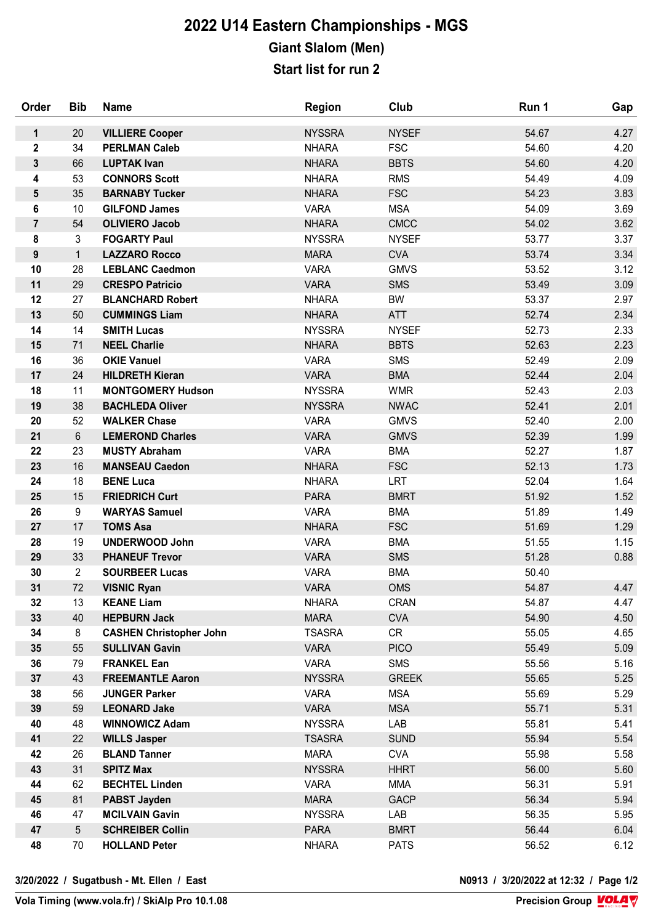## **2022 U14 Eastern Championships - MGS Giant Slalom (Men) Start list for run 2**

| Order          | <b>Bib</b>      | <b>Name</b>                                 | <b>Region</b>                | Club              | Run 1          | Gap          |
|----------------|-----------------|---------------------------------------------|------------------------------|-------------------|----------------|--------------|
| $\mathbf{1}$   | 20              | <b>VILLIERE Cooper</b>                      | <b>NYSSRA</b>                | <b>NYSEF</b>      | 54.67          | 4.27         |
| $\mathbf 2$    | 34              | <b>PERLMAN Caleb</b>                        | <b>NHARA</b>                 | <b>FSC</b>        | 54.60          | 4.20         |
| 3              | 66              | <b>LUPTAK Ivan</b>                          | <b>NHARA</b>                 | <b>BBTS</b>       | 54.60          | 4.20         |
| 4              | 53              | <b>CONNORS Scott</b>                        | <b>NHARA</b>                 | <b>RMS</b>        | 54.49          | 4.09         |
| 5              | 35              | <b>BARNABY Tucker</b>                       | <b>NHARA</b>                 | <b>FSC</b>        | 54.23          | 3.83         |
| 6              | 10 <sup>°</sup> | <b>GILFOND James</b>                        | <b>VARA</b>                  | <b>MSA</b>        | 54.09          | 3.69         |
| $\overline{7}$ | 54              | <b>OLIVIERO Jacob</b>                       | <b>NHARA</b>                 | <b>CMCC</b>       | 54.02          | 3.62         |
| 8              | $\mathfrak{S}$  | <b>FOGARTY Paul</b>                         | <b>NYSSRA</b>                | <b>NYSEF</b>      | 53.77          | 3.37         |
| $\pmb{9}$      | $\mathbf{1}$    | <b>LAZZARO Rocco</b>                        | <b>MARA</b>                  | <b>CVA</b>        | 53.74          | 3.34         |
| 10             | 28              | <b>LEBLANC Caedmon</b>                      | <b>VARA</b>                  | <b>GMVS</b>       | 53.52          | 3.12         |
| 11             | 29              | <b>CRESPO Patricio</b>                      | <b>VARA</b>                  | <b>SMS</b>        | 53.49          | 3.09         |
| 12             | 27              | <b>BLANCHARD Robert</b>                     | <b>NHARA</b>                 | BW                | 53.37          | 2.97         |
| 13             | 50              | <b>CUMMINGS Liam</b>                        | <b>NHARA</b>                 | <b>ATT</b>        | 52.74          | 2.34         |
| 14             | 14              | <b>SMITH Lucas</b>                          | <b>NYSSRA</b>                | <b>NYSEF</b>      | 52.73          | 2.33         |
| 15             | 71              | <b>NEEL Charlie</b>                         | <b>NHARA</b>                 | <b>BBTS</b>       | 52.63          | 2.23         |
| 16             | 36              | <b>OKIE Vanuel</b>                          | <b>VARA</b>                  | <b>SMS</b>        | 52.49          | 2.09         |
| 17             | 24              | <b>HILDRETH Kieran</b>                      | <b>VARA</b>                  | <b>BMA</b>        | 52.44          | 2.04         |
| 18             | 11              | <b>MONTGOMERY Hudson</b>                    | <b>NYSSRA</b>                | <b>WMR</b>        | 52.43          | 2.03         |
| 19             | 38              | <b>BACHLEDA Oliver</b>                      | <b>NYSSRA</b>                | <b>NWAC</b>       | 52.41          | 2.01         |
| 20             | 52              | <b>WALKER Chase</b>                         | <b>VARA</b>                  | <b>GMVS</b>       | 52.40          | 2.00         |
| 21             | $6\phantom{1}$  | <b>LEMEROND Charles</b>                     | <b>VARA</b>                  | <b>GMVS</b>       | 52.39          | 1.99         |
| 22             | 23              | <b>MUSTY Abraham</b>                        | <b>VARA</b>                  | <b>BMA</b>        | 52.27          | 1.87         |
| 23             | 16              | <b>MANSEAU Caedon</b>                       | <b>NHARA</b>                 | <b>FSC</b>        | 52.13          | 1.73         |
| 24             | 18              | <b>BENE Luca</b>                            | <b>NHARA</b>                 | <b>LRT</b>        | 52.04          | 1.64         |
| 25             | 15              | <b>FRIEDRICH Curt</b>                       | <b>PARA</b>                  | <b>BMRT</b>       | 51.92          | 1.52         |
| 26             | 9               | <b>WARYAS Samuel</b>                        | <b>VARA</b>                  | <b>BMA</b>        | 51.89          | 1.49         |
| 27             | 17              | <b>TOMS Asa</b>                             | <b>NHARA</b>                 | <b>FSC</b>        | 51.69          | 1.29         |
| 28             | 19              | <b>UNDERWOOD John</b>                       | <b>VARA</b>                  | <b>BMA</b>        | 51.55          | 1.15         |
| 29             | 33              | <b>PHANEUF Trevor</b>                       | <b>VARA</b>                  | <b>SMS</b>        | 51.28          | 0.88         |
| 30             | $\overline{2}$  | <b>SOURBEER Lucas</b>                       | <b>VARA</b>                  | <b>BMA</b>        | 50.40          |              |
| 31             | 72              | <b>VISNIC Ryan</b>                          | <b>VARA</b>                  | <b>OMS</b>        | 54.87          | 4.47         |
| 32             | 13              | <b>KEANE Liam</b>                           | <b>NHARA</b>                 | <b>CRAN</b>       | 54.87          | 4.47         |
| 33             | 40              | <b>HEPBURN Jack</b>                         | <b>MARA</b>                  | <b>CVA</b>        | 54.90          | 4.50         |
| 34             | 8<br>55         | <b>CASHEN Christopher John</b>              | <b>TSASRA</b><br><b>VARA</b> | CR<br><b>PICO</b> | 55.05          | 4.65         |
| 35<br>36       | 79              | <b>SULLIVAN Gavin</b><br><b>FRANKEL Ean</b> | <b>VARA</b>                  | <b>SMS</b>        | 55.49<br>55.56 | 5.09<br>5.16 |
| 37             | 43              | <b>FREEMANTLE Aaron</b>                     | <b>NYSSRA</b>                | <b>GREEK</b>      | 55.65          | 5.25         |
| 38             | 56              | <b>JUNGER Parker</b>                        | <b>VARA</b>                  | <b>MSA</b>        | 55.69          | 5.29         |
| 39             | 59              | <b>LEONARD Jake</b>                         | <b>VARA</b>                  | <b>MSA</b>        | 55.71          | 5.31         |
| 40             | 48              | <b>WINNOWICZ Adam</b>                       | <b>NYSSRA</b>                | LAB               | 55.81          | 5.41         |
| 41             | 22              | <b>WILLS Jasper</b>                         | <b>TSASRA</b>                | <b>SUND</b>       | 55.94          | 5.54         |
| 42             | 26              | <b>BLAND Tanner</b>                         | <b>MARA</b>                  | <b>CVA</b>        | 55.98          | 5.58         |
| 43             | 31              | <b>SPITZ Max</b>                            | <b>NYSSRA</b>                | <b>HHRT</b>       | 56.00          | 5.60         |
| 44             | 62              | <b>BECHTEL Linden</b>                       | <b>VARA</b>                  | <b>MMA</b>        | 56.31          | 5.91         |
| 45             | 81              | <b>PABST Jayden</b>                         | <b>MARA</b>                  | <b>GACP</b>       | 56.34          | 5.94         |
| 46             | 47              | <b>MCILVAIN Gavin</b>                       | <b>NYSSRA</b>                | LAB               | 56.35          | 5.95         |
| 47             | $5\phantom{.0}$ | <b>SCHREIBER Collin</b>                     | <b>PARA</b>                  | <b>BMRT</b>       | 56.44          | 6.04         |
| 48             | 70              | <b>HOLLAND Peter</b>                        | <b>NHARA</b>                 | <b>PATS</b>       | 56.52          | 6.12         |
|                |                 |                                             |                              |                   |                |              |